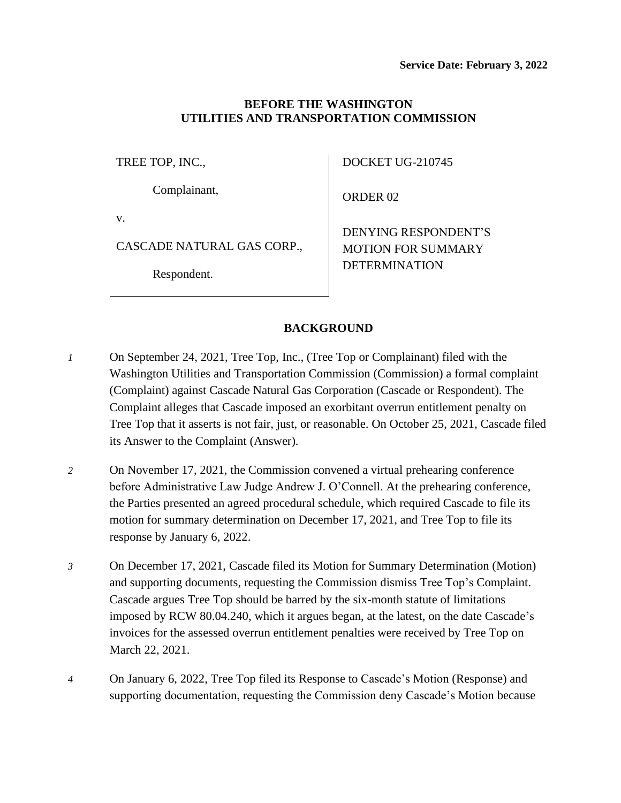### **BEFORE THE WASHINGTON UTILITIES AND TRANSPORTATION COMMISSION**

TREE TOP, INC.,

Complainant,

v.

CASCADE NATURAL GAS CORP.,

Respondent.

DOCKET UG-210745

ORDER 02

DENYING RESPONDENT'S MOTION FOR SUMMARY DETERMINATION

# **BACKGROUND**

- *1* On September 24, 2021, Tree Top, Inc., (Tree Top or Complainant) filed with the Washington Utilities and Transportation Commission (Commission) a formal complaint (Complaint) against Cascade Natural Gas Corporation (Cascade or Respondent). The Complaint alleges that Cascade imposed an exorbitant overrun entitlement penalty on Tree Top that it asserts is not fair, just, or reasonable. On October 25, 2021, Cascade filed its Answer to the Complaint (Answer).
- *2* On November 17, 2021, the Commission convened a virtual prehearing conference before Administrative Law Judge Andrew J. O'Connell. At the prehearing conference, the Parties presented an agreed procedural schedule, which required Cascade to file its motion for summary determination on December 17, 2021, and Tree Top to file its response by January 6, 2022.
- *3* On December 17, 2021, Cascade filed its Motion for Summary Determination (Motion) and supporting documents, requesting the Commission dismiss Tree Top's Complaint. Cascade argues Tree Top should be barred by the six-month statute of limitations imposed by RCW 80.04.240, which it argues began, at the latest, on the date Cascade's invoices for the assessed overrun entitlement penalties were received by Tree Top on March 22, 2021.
- *4* On January 6, 2022, Tree Top filed its Response to Cascade's Motion (Response) and supporting documentation, requesting the Commission deny Cascade's Motion because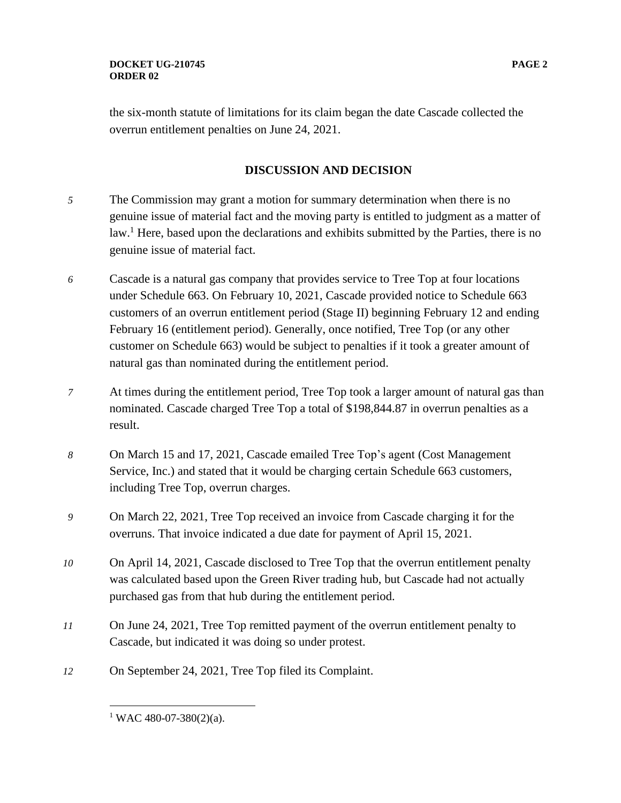the six-month statute of limitations for its claim began the date Cascade collected the overrun entitlement penalties on June 24, 2021.

## **DISCUSSION AND DECISION**

- *5* The Commission may grant a motion for summary determination when there is no genuine issue of material fact and the moving party is entitled to judgment as a matter of law.<sup>1</sup> Here, based upon the declarations and exhibits submitted by the Parties, there is no genuine issue of material fact.
- *6* Cascade is a natural gas company that provides service to Tree Top at four locations under Schedule 663. On February 10, 2021, Cascade provided notice to Schedule 663 customers of an overrun entitlement period (Stage II) beginning February 12 and ending February 16 (entitlement period). Generally, once notified, Tree Top (or any other customer on Schedule 663) would be subject to penalties if it took a greater amount of natural gas than nominated during the entitlement period.
- *7* At times during the entitlement period, Tree Top took a larger amount of natural gas than nominated. Cascade charged Tree Top a total of \$198,844.87 in overrun penalties as a result.
- *8* On March 15 and 17, 2021, Cascade emailed Tree Top's agent (Cost Management Service, Inc.) and stated that it would be charging certain Schedule 663 customers, including Tree Top, overrun charges.
- *9* On March 22, 2021, Tree Top received an invoice from Cascade charging it for the overruns. That invoice indicated a due date for payment of April 15, 2021.
- *10* On April 14, 2021, Cascade disclosed to Tree Top that the overrun entitlement penalty was calculated based upon the Green River trading hub, but Cascade had not actually purchased gas from that hub during the entitlement period.
- *11* On June 24, 2021, Tree Top remitted payment of the overrun entitlement penalty to Cascade, but indicated it was doing so under protest.
- *12* On September 24, 2021, Tree Top filed its Complaint.

 $1$  WAC 480-07-380(2)(a).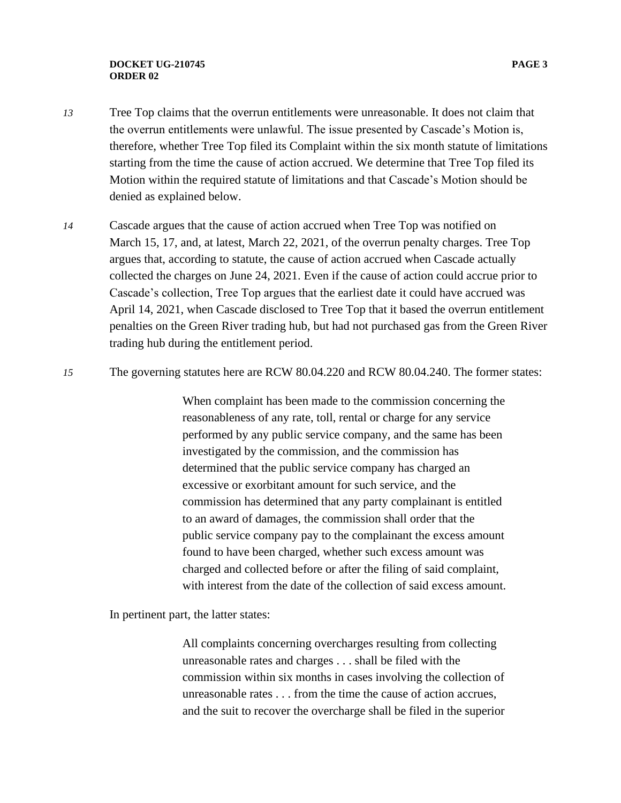#### **DOCKET UG-210745 PAGE 3 ORDER 02**

- *13* Tree Top claims that the overrun entitlements were unreasonable. It does not claim that the overrun entitlements were unlawful. The issue presented by Cascade's Motion is, therefore, whether Tree Top filed its Complaint within the six month statute of limitations starting from the time the cause of action accrued. We determine that Tree Top filed its Motion within the required statute of limitations and that Cascade's Motion should be denied as explained below.
- *14* Cascade argues that the cause of action accrued when Tree Top was notified on March 15, 17, and, at latest, March 22, 2021, of the overrun penalty charges. Tree Top argues that, according to statute, the cause of action accrued when Cascade actually collected the charges on June 24, 2021. Even if the cause of action could accrue prior to Cascade's collection, Tree Top argues that the earliest date it could have accrued was April 14, 2021, when Cascade disclosed to Tree Top that it based the overrun entitlement penalties on the Green River trading hub, but had not purchased gas from the Green River trading hub during the entitlement period.
- *15* The governing statutes here are RCW 80.04.220 and RCW 80.04.240. The former states:

When complaint has been made to the commission concerning the reasonableness of any rate, toll, rental or charge for any service performed by any public service company, and the same has been investigated by the commission, and the commission has determined that the public service company has charged an excessive or exorbitant amount for such service, and the commission has determined that any party complainant is entitled to an award of damages, the commission shall order that the public service company pay to the complainant the excess amount found to have been charged, whether such excess amount was charged and collected before or after the filing of said complaint, with interest from the date of the collection of said excess amount.

In pertinent part, the latter states:

All complaints concerning overcharges resulting from collecting unreasonable rates and charges . . . shall be filed with the commission within six months in cases involving the collection of unreasonable rates . . . from the time the cause of action accrues, and the suit to recover the overcharge shall be filed in the superior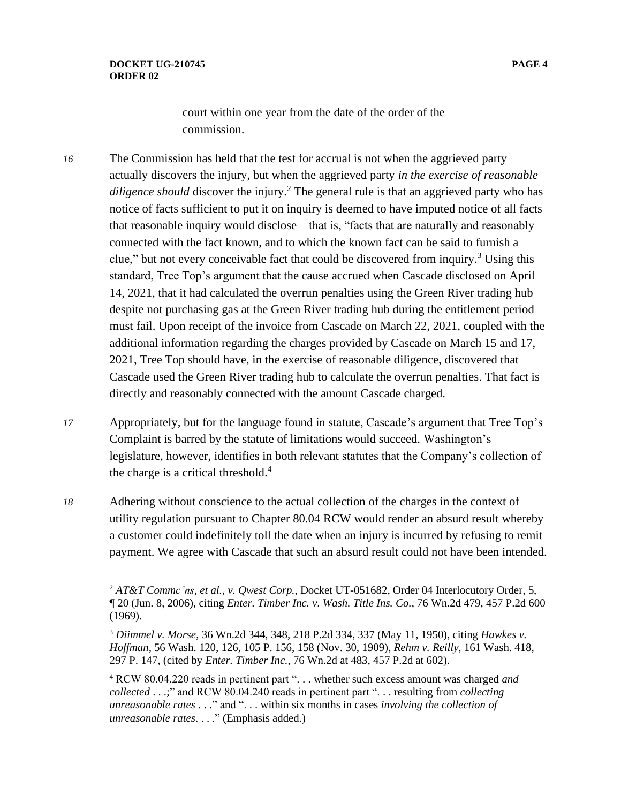court within one year from the date of the order of the

commission.

- *16* The Commission has held that the test for accrual is not when the aggrieved party actually discovers the injury, but when the aggrieved party *in the exercise of reasonable diligence should* discover the injury.<sup>2</sup> The general rule is that an aggrieved party who has notice of facts sufficient to put it on inquiry is deemed to have imputed notice of all facts that reasonable inquiry would disclose – that is, "facts that are naturally and reasonably connected with the fact known, and to which the known fact can be said to furnish a clue," but not every conceivable fact that could be discovered from inquiry. <sup>3</sup> Using this standard, Tree Top's argument that the cause accrued when Cascade disclosed on April 14, 2021, that it had calculated the overrun penalties using the Green River trading hub despite not purchasing gas at the Green River trading hub during the entitlement period must fail. Upon receipt of the invoice from Cascade on March 22, 2021, coupled with the additional information regarding the charges provided by Cascade on March 15 and 17, 2021, Tree Top should have, in the exercise of reasonable diligence, discovered that Cascade used the Green River trading hub to calculate the overrun penalties. That fact is directly and reasonably connected with the amount Cascade charged.
- *17* Appropriately, but for the language found in statute, Cascade's argument that Tree Top's Complaint is barred by the statute of limitations would succeed. Washington's legislature, however, identifies in both relevant statutes that the Company's collection of the charge is a critical threshold. $4$
- *18* Adhering without conscience to the actual collection of the charges in the context of utility regulation pursuant to Chapter 80.04 RCW would render an absurd result whereby a customer could indefinitely toll the date when an injury is incurred by refusing to remit payment. We agree with Cascade that such an absurd result could not have been intended.

<sup>2</sup> *AT&T Commc'ns, et al., v. Qwest Corp.*, Docket UT-051682, Order 04 Interlocutory Order, 5, ¶ 20 (Jun. 8, 2006), citing *Enter. Timber Inc. v. Wash. Title Ins. Co.*, 76 Wn.2d 479, 457 P.2d 600 (1969).

<sup>3</sup> *Diimmel v. Morse*, 36 Wn.2d 344, 348, 218 P.2d 334, 337 (May 11, 1950), citing *Hawkes v. Hoffman*, 56 Wash. 120, 126, 105 P. 156, 158 (Nov. 30, 1909), *Rehm v. Reilly*, 161 Wash. 418, 297 P. 147, (cited by *Enter. Timber Inc.*, 76 Wn.2d at 483, 457 P.2d at 602).

<sup>4</sup> RCW 80.04.220 reads in pertinent part ". . . whether such excess amount was charged *and collected* . . .;" and RCW 80.04.240 reads in pertinent part ". . . resulting from *collecting unreasonable rates* . . ." and ". . . within six months in cases *involving the collection of unreasonable rates*. . . ." (Emphasis added.)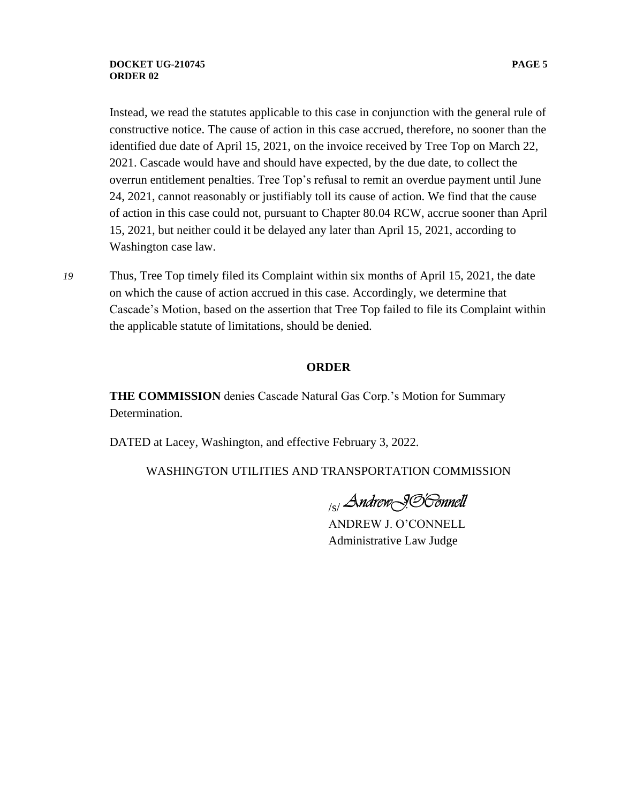Instead, we read the statutes applicable to this case in conjunction with the general rule of constructive notice. The cause of action in this case accrued, therefore, no sooner than the identified due date of April 15, 2021, on the invoice received by Tree Top on March 22, 2021. Cascade would have and should have expected, by the due date, to collect the overrun entitlement penalties. Tree Top's refusal to remit an overdue payment until June 24, 2021, cannot reasonably or justifiably toll its cause of action. We find that the cause of action in this case could not, pursuant to Chapter 80.04 RCW, accrue sooner than April 15, 2021, but neither could it be delayed any later than April 15, 2021, according to Washington case law.

*19* Thus, Tree Top timely filed its Complaint within six months of April 15, 2021, the date on which the cause of action accrued in this case. Accordingly, we determine that Cascade's Motion, based on the assertion that Tree Top failed to file its Complaint within the applicable statute of limitations, should be denied.

#### **ORDER**

**THE COMMISSION** denies Cascade Natural Gas Corp.'s Motion for Summary Determination.

DATED at Lacey, Washington, and effective February 3, 2022.

WASHINGTON UTILITIES AND TRANSPORTATION COMMISSION

<sub>/s/</sub>Andrew<sub>\</sub>99'60nnell

ANDREW J. O'CONNELL Administrative Law Judge